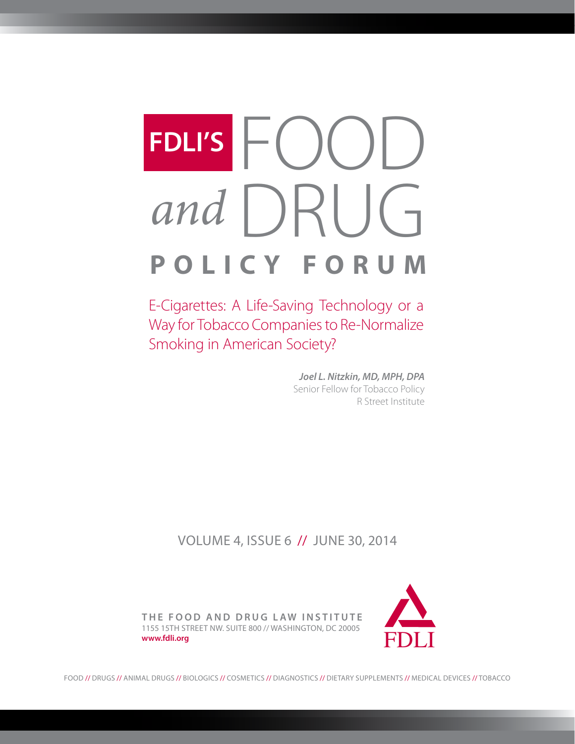# FDLI'S FOOD<br>and DRUG **POLICY FORUM** *and* **FDLI'S**

E-Cigarettes: A Life-Saving Technology or a Way for Tobacco Companies to Re-Normalize Smoking in American Society?

> *Joel L. Nitzkin, MD, MPH, DPA* Senior Fellow for Tobacco Policy R Street Institute

volume 4, issue 6 // June 30, 2014



**the food and drug law institute** 1155 15th Street NW. Suite 800 // Washington, DC 20005 **www.fdli.org**

food // drugs // animal drugs // biologics // cosmetics // diagnostics // dietary supplements // medical devices // tobacco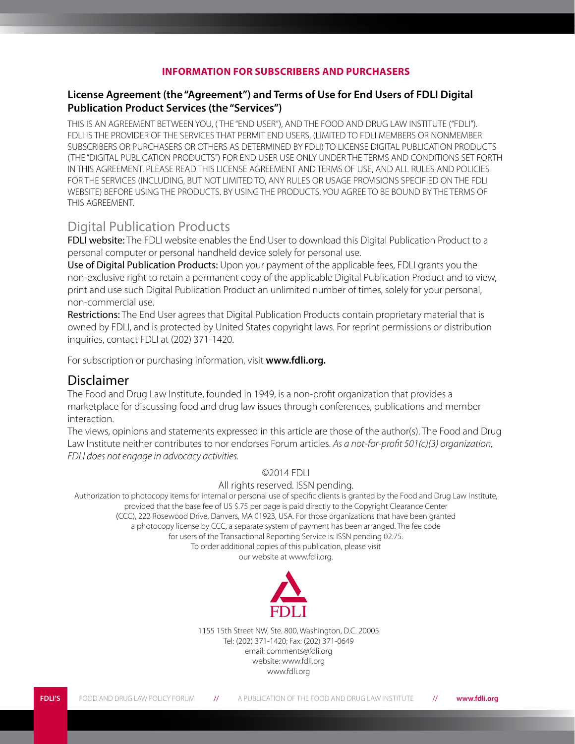#### **INFORMATION FOR SUBSCRIBERS AND PURCHASERS**

#### **License Agreement (the "Agreement") and Terms of Use for End Users of FDLI Digital Publication Product Services (the "Services")**

THIS IS AN AGREEMENT BETWEEN YOU, ( THE "END USER"), AND THE FOOD AND DRUG LAW INSTITUTE ("FDLI"). FDLI IS THE PROVIDER OF THE SERVICES THAT PERMIT END USERS, (LIMITED TO FDLI MEMBERS OR NONMEMBER SUBSCRIBERS OR PURCHASERS OR OTHERS AS DETERMINED BY FDLI) TO LICENSE DIGITAL PUBLICATION PRODUCTS (THE "DIGITAL PUBLICATION PRODUCTS") FOR END USER USE ONLY UNDER THE TERMS AND CONDITIONS SET FORTH IN THIS AGREEMENT. PLEASE READ THIS LICENSE AGREEMENT AND TERMS OF USE, AND ALL RULES AND POLICIES FOR THE SERVICES (INCLUDING, BUT NOT LIMITED TO, ANY RULES OR USAGE PROVISIONS SPECIFIED ON THE FDLI WEBSITE) BEFORE USING THE PRODUCTS. BY USING THE PRODUCTS, YOU AGREE TO BE BOUND BY THE TERMS OF THIS AGREEMENT.

# Digital Publication Products

FDLI website: The FDLI website enables the End User to download this Digital Publication Product to a personal computer or personal handheld device solely for personal use.

Use of Digital Publication Products: Upon your payment of the applicable fees, FDLI grants you the non-exclusive right to retain a permanent copy of the applicable Digital Publication Product and to view, print and use such Digital Publication Product an unlimited number of times, solely for your personal, non-commercial use.

Restrictions: The End User agrees that Digital Publication Products contain proprietary material that is owned by FDLI, and is protected by United States copyright laws. For reprint permissions or distribution inquiries, contact FDLI at (202) 371-1420.

For subscription or purchasing information, visit **www.fdli.org.**

## Disclaimer

The Food and Drug Law Institute, founded in 1949, is a non-profit organization that provides a marketplace for discussing food and drug law issues through conferences, publications and member interaction.

The views, opinions and statements expressed in this article are those of the author(s). The Food and Drug Law Institute neither contributes to nor endorses Forum articles. *As a not-for-profit 501(c)(3) organization, FDLI does not engage in advocacy activities.*

#### ©2014 FDLI

#### All rights reserved. ISSN pending.

Authorization to photocopy items for internal or personal use of specific clients is granted by the Food and Drug Law Institute, provided that the base fee of US \$.75 per page is paid directly to the Copyright Clearance Center (CCC), 222 Rosewood Drive, Danvers, MA 01923, USA. For those organizations that have been granted a photocopy license by CCC, a separate system of payment has been arranged. The fee code for users of the Transactional Reporting Service is: ISSN pending 02.75. To order additional copies of this publication, please visit

our website at www.fdli.org.



1155 15th Street NW, Ste. 800, Washington, D.C. 20005 Tel: (202) 371-1420; Fax: (202) 371-0649 email: comments@fdli.org website: www.fdli.org www.fdli.org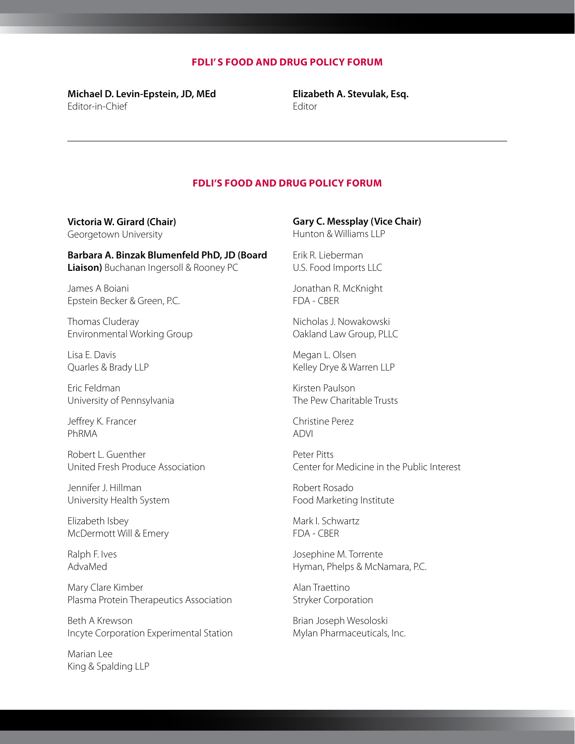#### **FDLI' s food and drug policy forum**

**Michael D. Levin-Epstein, JD, MEd**  Editor-in-Chief

**Elizabeth A. Stevulak, Esq.** Editor

#### **FDLI's food and drug policy forum**

**Victoria W. Girard (Chair)**  Georgetown University

**Barbara A. Binzak Blumenfeld PhD, JD (Board Liaison)** Buchanan Ingersoll & Rooney PC

James A Boiani Epstein Becker & Green, P.C.

Thomas Cluderay Environmental Working Group

Lisa E. Davis Quarles & Brady LLP

Eric Feldman University of Pennsylvania

Jeffrey K. Francer PhRMA

Robert L. Guenther United Fresh Produce Association

Jennifer J. Hillman University Health System

Elizabeth Isbey McDermott Will & Emery

Ralph F. Ives AdvaMed

Mary Clare Kimber Plasma Protein Therapeutics Association

Beth A Krewson Incyte Corporation Experimental Station

Marian Lee King & Spalding LLP

#### **Gary C. Messplay (Vice Chair)**

Hunton & Williams LLP

Erik R. Lieberman U.S. Food Imports LLC

Jonathan R. McKnight FDA - CBER

Nicholas J. Nowakowski Oakland Law Group, PLLC

Megan L. Olsen Kelley Drye & Warren LLP

Kirsten Paulson The Pew Charitable Trusts

Christine Perez ADVI

Peter Pitts Center for Medicine in the Public Interest

Robert Rosado Food Marketing Institute

Mark I. Schwartz FDA - CBER

Josephine M. Torrente Hyman, Phelps & McNamara, P.C.

Alan Traettino Stryker Corporation

Brian Joseph Wesoloski Mylan Pharmaceuticals, Inc.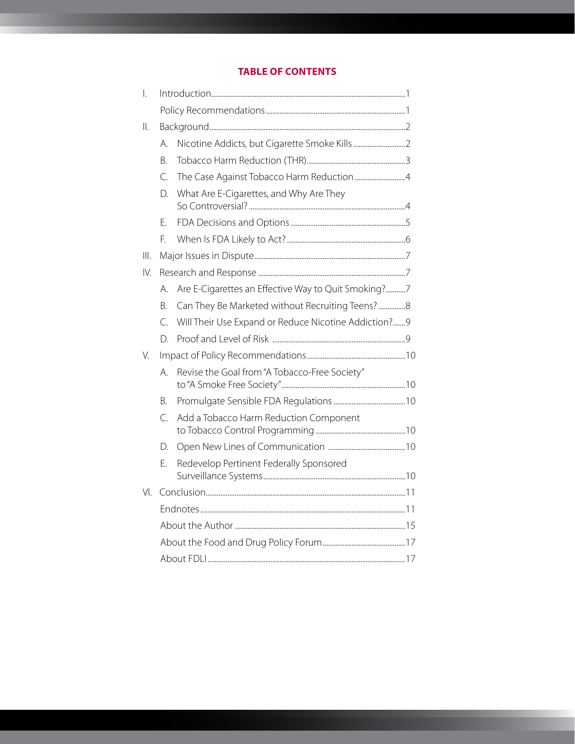### **Table of Contents**

| $\overline{\phantom{a}}$ |           |                                                      |  |
|--------------------------|-----------|------------------------------------------------------|--|
|                          |           |                                                      |  |
| $\parallel$ .            |           |                                                      |  |
|                          | А.        |                                                      |  |
|                          | В.        |                                                      |  |
|                          | C.        |                                                      |  |
|                          | D.        | What Are E-Cigarettes, and Why Are They              |  |
|                          | F.        |                                                      |  |
|                          | E.        |                                                      |  |
| III.                     |           |                                                      |  |
| IV.                      |           |                                                      |  |
|                          | A.        | Are E-Cigarettes an Effective Way to Quit Smoking?7  |  |
|                          | B.        |                                                      |  |
|                          | $\subset$ | Will Their Use Expand or Reduce Nicotine Addiction?9 |  |
|                          | D.        |                                                      |  |
| V.                       |           |                                                      |  |
|                          | А.        | Revise the Goal from "A Tobacco-Free Society"        |  |
|                          | В.        |                                                      |  |
|                          | С.        | Add a Tobacco Harm Reduction Component               |  |
|                          | D.        |                                                      |  |
|                          | E.        | Redevelop Pertinent Federally Sponsored              |  |
| $VI_{1}$                 |           |                                                      |  |
|                          |           |                                                      |  |
|                          |           |                                                      |  |
|                          |           |                                                      |  |
|                          |           |                                                      |  |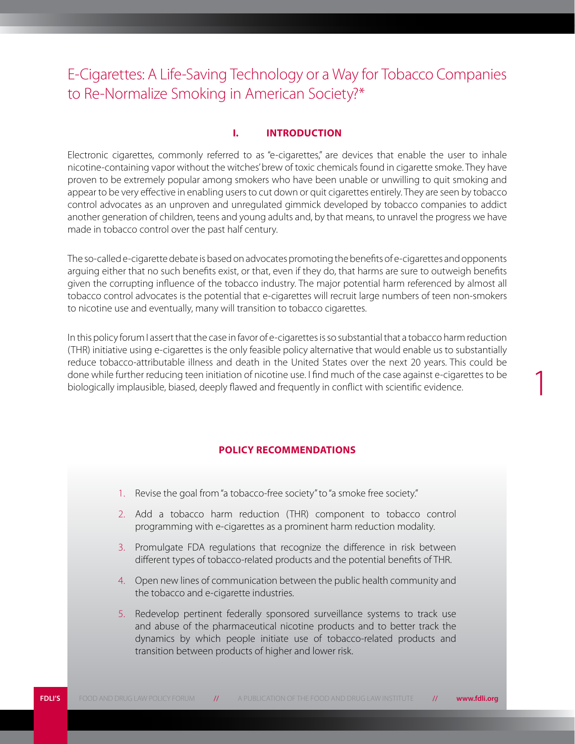# <span id="page-4-0"></span>E-Cigarettes: A Life-Saving Technology or a Way for Tobacco Companies to Re-Normalize Smoking in American Society?\*

#### **I. Introduction**

Electronic cigarettes, commonly referred to as "e-cigarettes," are devices that enable the user to inhale nicotine-containing vapor without the witches' brew of toxic chemicals found in cigarette smoke. They have proven to be extremely popular among smokers who have been unable or unwilling to quit smoking and appear to be very effective in enabling users to cut down or quit cigarettes entirely. They are seen by tobacco control advocates as an unproven and unregulated gimmick developed by tobacco companies to addict another generation of children, teens and young adults and, by that means, to unravel the progress we have made in tobacco control over the past half century.

The so-called e-cigarette debate is based on advocates promoting the benefits of e-cigarettes and opponents arguing either that no such benefits exist, or that, even if they do, that harms are sure to outweigh benefits given the corrupting influence of the tobacco industry. The major potential harm referenced by almost all tobacco control advocates is the potential that e-cigarettes will recruit large numbers of teen non-smokers to nicotine use and eventually, many will transition to tobacco cigarettes.

In this policy forum I assert that the case in favor of e-cigarettes is so substantial that a tobacco harm reduction (THR) initiative using e-cigarettes is the only feasible policy alternative that would enable us to substantially reduce tobacco-attributable illness and death in the United States over the next 20 years. This could be done while further reducing teen initiation of nicotine use. I find much of the case against e-cigarettes to be biologically implausible, biased, deeply flawed and frequently in conflict with scientific evidence.

1

#### **Policy Recommendations**

- 1. Revise the goal from "a tobacco-free society" to "a smoke free society."
- 2. Add a tobacco harm reduction (THR) component to tobacco control programming with e-cigarettes as a prominent harm reduction modality.
- 3. Promulgate FDA regulations that recognize the difference in risk between different types of tobacco-related products and the potential benefits of THR.
- 4. Open new lines of communication between the public health community and the tobacco and e-cigarette industries.
- 5. Redevelop pertinent federally sponsored surveillance systems to track use and abuse of the pharmaceutical nicotine products and to better track the dynamics by which people initiate use of tobacco-related products and transition between products of higher and lower risk.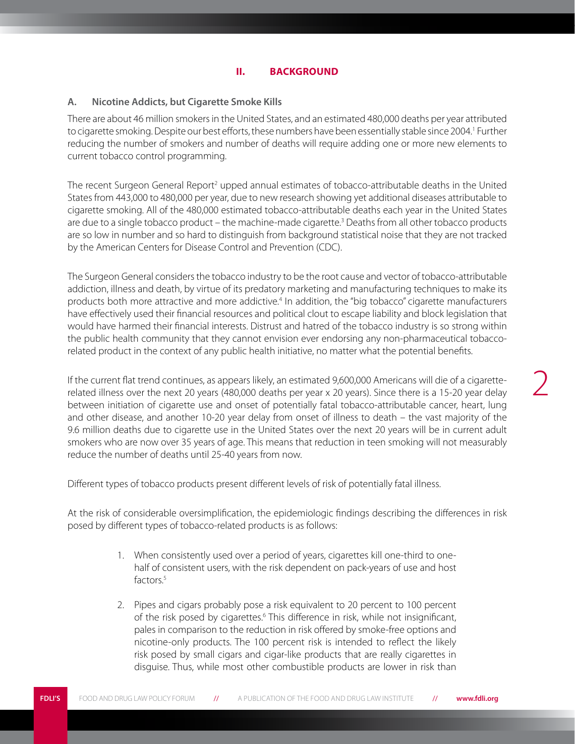#### <span id="page-5-0"></span>**A. Nicotine Addicts, but Cigarette Smoke Kills**

There are about 46 million smokers in the United States, and an estimated 480,000 deaths per year attributed to cigarette smoking. Despite our best efforts, these numbers have been essentially stable since 2004.<sup>1</sup> Further reducing the number of smokers and number of deaths will require adding one or more new elements to current tobacco control programming.

The recent Surgeon General Report<sup>2</sup> upped annual estimates of tobacco-attributable deaths in the United States from 443,000 to 480,000 per year, due to new research showing yet additional diseases attributable to cigarette smoking. All of the 480,000 estimated tobacco-attributable deaths each year in the United States are due to a single tobacco product – the machine-made cigarette.<sup>3</sup> Deaths from all other tobacco products are so low in number and so hard to distinguish from background statistical noise that they are not tracked by the American Centers for Disease Control and Prevention (CDC).

The Surgeon General considers the tobacco industry to be the root cause and vector of tobacco-attributable addiction, illness and death, by virtue of its predatory marketing and manufacturing techniques to make its products both more attractive and more addictive.<sup>4</sup> In addition, the "big tobacco" cigarette manufacturers have effectively used their financial resources and political clout to escape liability and block legislation that would have harmed their financial interests. Distrust and hatred of the tobacco industry is so strong within the public health community that they cannot envision ever endorsing any non-pharmaceutical tobaccorelated product in the context of any public health initiative, no matter what the potential benefits.

If the current flat trend continues, as appears likely, an estimated 9,600,000 Americans will die of a cigaretterelated illness over the next 20 years (480,000 deaths per year x 20 years). Since there is a 15-20 year delay between initiation of cigarette use and onset of potentially fatal tobacco-attributable cancer, heart, lung and other disease, and another 10-20 year delay from onset of illness to death – the vast majority of the 9.6 million deaths due to cigarette use in the United States over the next 20 years will be in current adult smokers who are now over 35 years of age. This means that reduction in teen smoking will not measurably reduce the number of deaths until 25-40 years from now.

Different types of tobacco products present different levels of risk of potentially fatal illness.

At the risk of considerable oversimplification, the epidemiologic findings describing the differences in risk posed by different types of tobacco-related products is as follows:

- 1. When consistently used over a period of years, cigarettes kill one-third to onehalf of consistent users, with the risk dependent on pack-years of use and host factors.<sup>5</sup>
- 2. Pipes and cigars probably pose a risk equivalent to 20 percent to 100 percent of the risk posed by cigarettes.<sup>6</sup> This difference in risk, while not insignificant, pales in comparison to the reduction in risk offered by smoke-free options and nicotine-only products. The 100 percent risk is intended to reflect the likely risk posed by small cigars and cigar-like products that are really cigarettes in disguise. Thus, while most other combustible products are lower in risk than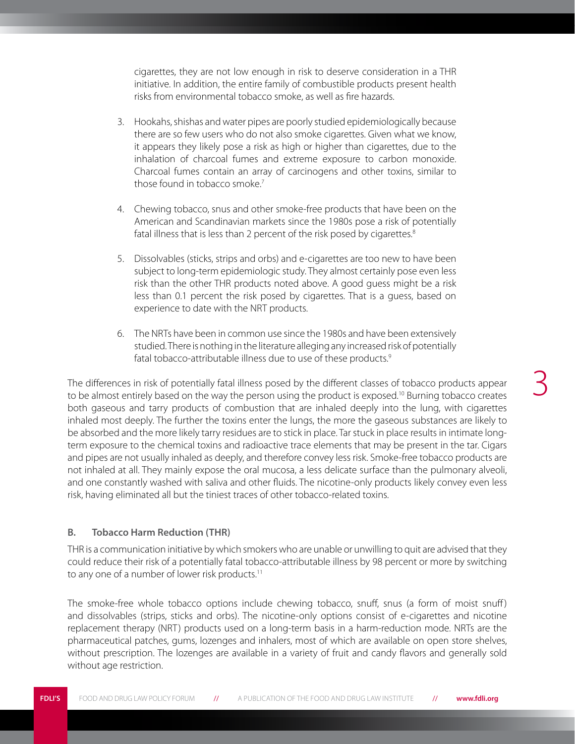<span id="page-6-0"></span>cigarettes, they are not low enough in risk to deserve consideration in a THR initiative. In addition, the entire family of combustible products present health risks from environmental tobacco smoke, as well as fire hazards.

- 3. Hookahs, shishas and water pipes are poorly studied epidemiologically because there are so few users who do not also smoke cigarettes. Given what we know, it appears they likely pose a risk as high or higher than cigarettes, due to the inhalation of charcoal fumes and extreme exposure to carbon monoxide. Charcoal fumes contain an array of carcinogens and other toxins, similar to those found in tobacco smoke.<sup>7</sup>
- 4. Chewing tobacco, snus and other smoke-free products that have been on the American and Scandinavian markets since the 1980s pose a risk of potentially fatal illness that is less than 2 percent of the risk posed by cigarettes.<sup>8</sup>
- 5. Dissolvables (sticks, strips and orbs) and e-cigarettes are too new to have been subject to long-term epidemiologic study. They almost certainly pose even less risk than the other THR products noted above. A good guess might be a risk less than 0.1 percent the risk posed by cigarettes. That is a guess, based on experience to date with the NRT products.
- 6. The NRTs have been in common use since the 1980s and have been extensively studied. There is nothing in the literature alleging any increased risk of potentially fatal tobacco-attributable illness due to use of these products.<sup>9</sup>

The differences in risk of potentially fatal illness posed by the different classes of tobacco products appear to be almost entirely based on the way the person using the product is exposed.<sup>10</sup> Burning tobacco creates both gaseous and tarry products of combustion that are inhaled deeply into the lung, with cigarettes inhaled most deeply. The further the toxins enter the lungs, the more the gaseous substances are likely to be absorbed and the more likely tarry residues are to stick in place. Tar stuck in place results in intimate longterm exposure to the chemical toxins and radioactive trace elements that may be present in the tar. Cigars and pipes are not usually inhaled as deeply, and therefore convey less risk. Smoke-free tobacco products are not inhaled at all. They mainly expose the oral mucosa, a less delicate surface than the pulmonary alveoli, and one constantly washed with saliva and other fluids. The nicotine-only products likely convey even less risk, having eliminated all but the tiniest traces of other tobacco-related toxins.

#### **B. Tobacco Harm Reduction (THR)**

THR is a communication initiative by which smokers who are unable or unwilling to quit are advised that they could reduce their risk of a potentially fatal tobacco-attributable illness by 98 percent or more by switching to any one of a number of lower risk products.<sup>11</sup>

The smoke-free whole tobacco options include chewing tobacco, snuff, snus (a form of moist snuff) and dissolvables (strips, sticks and orbs). The nicotine-only options consist of e-cigarettes and nicotine replacement therapy (NRT) products used on a long-term basis in a harm-reduction mode. NRTs are the pharmaceutical patches, gums, lozenges and inhalers, most of which are available on open store shelves, without prescription. The lozenges are available in a variety of fruit and candy flavors and generally sold without age restriction.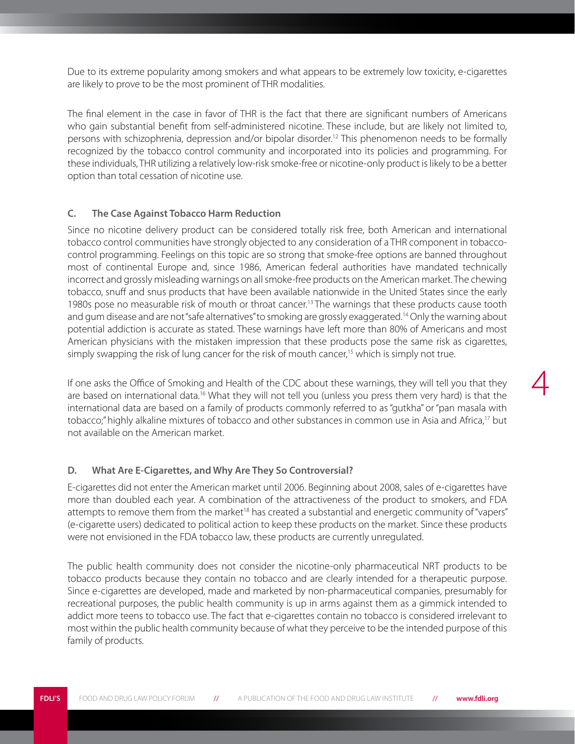<span id="page-7-0"></span>Due to its extreme popularity among smokers and what appears to be extremely low toxicity, e-cigarettes are likely to prove to be the most prominent of THR modalities.

The final element in the case in favor of THR is the fact that there are significant numbers of Americans who gain substantial benefit from self-administered nicotine. These include, but are likely not limited to, persons with schizophrenia, depression and/or bipolar disorder.12 This phenomenon needs to be formally recognized by the tobacco control community and incorporated into its policies and programming. For these individuals, THR utilizing a relatively low-risk smoke-free or nicotine-only product is likely to be a better option than total cessation of nicotine use.

#### **C. The Case Against Tobacco Harm Reduction**

Since no nicotine delivery product can be considered totally risk free, both American and international tobacco control communities have strongly objected to any consideration of a THR component in tobaccocontrol programming. Feelings on this topic are so strong that smoke-free options are banned throughout most of continental Europe and, since 1986, American federal authorities have mandated technically incorrect and grossly misleading warnings on all smoke-free products on the American market. The chewing tobacco, snuff and snus products that have been available nationwide in the United States since the early 1980s pose no measurable risk of mouth or throat cancer.<sup>13</sup> The warnings that these products cause tooth and gum disease and are not "safe alternatives" to smoking are grossly exaggerated.14 Only the warning about potential addiction is accurate as stated. These warnings have left more than 80% of Americans and most American physicians with the mistaken impression that these products pose the same risk as cigarettes, simply swapping the risk of lung cancer for the risk of mouth cancer,<sup>15</sup> which is simply not true.

If one asks the Office of Smoking and Health of the CDC about these warnings, they will tell you that they are based on international data.<sup>16</sup> What they will not tell you (unless you press them very hard) is that the international data are based on a family of products commonly referred to as "gutkha" or "pan masala with tobacco;" highly alkaline mixtures of tobacco and other substances in common use in Asia and Africa,<sup>17</sup> but not available on the American market.

4

#### **D. What Are E-Cigarettes, and Why Are They So Controversial?**

E-cigarettes did not enter the American market until 2006. Beginning about 2008, sales of e-cigarettes have more than doubled each year. A combination of the attractiveness of the product to smokers, and FDA attempts to remove them from the market<sup>18</sup> has created a substantial and energetic community of "vapers" (e-cigarette users) dedicated to political action to keep these products on the market. Since these products were not envisioned in the FDA tobacco law, these products are currently unregulated.

The public health community does not consider the nicotine-only pharmaceutical NRT products to be tobacco products because they contain no tobacco and are clearly intended for a therapeutic purpose. Since e-cigarettes are developed, made and marketed by non-pharmaceutical companies, presumably for recreational purposes, the public health community is up in arms against them as a gimmick intended to addict more teens to tobacco use. The fact that e-cigarettes contain no tobacco is considered irrelevant to most within the public health community because of what they perceive to be the intended purpose of this family of products.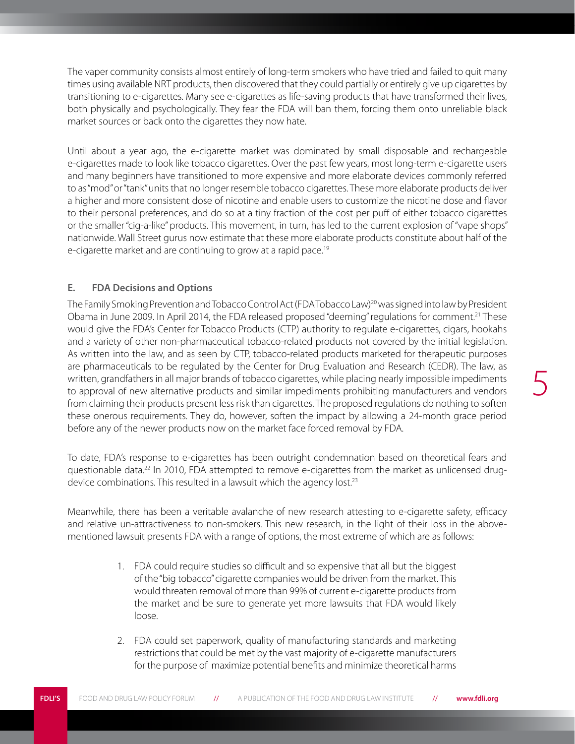<span id="page-8-0"></span>The vaper community consists almost entirely of long-term smokers who have tried and failed to quit many times using available NRT products, then discovered that they could partially or entirely give up cigarettes by transitioning to e-cigarettes. Many see e-cigarettes as life-saving products that have transformed their lives, both physically and psychologically. They fear the FDA will ban them, forcing them onto unreliable black market sources or back onto the cigarettes they now hate.

Until about a year ago, the e-cigarette market was dominated by small disposable and rechargeable e-cigarettes made to look like tobacco cigarettes. Over the past few years, most long-term e-cigarette users and many beginners have transitioned to more expensive and more elaborate devices commonly referred to as "mod" or "tank" units that no longer resemble tobacco cigarettes. These more elaborate products deliver a higher and more consistent dose of nicotine and enable users to customize the nicotine dose and flavor to their personal preferences, and do so at a tiny fraction of the cost per puff of either tobacco cigarettes or the smaller "cig-a-like" products. This movement, in turn, has led to the current explosion of "vape shops" nationwide. Wall Street gurus now estimate that these more elaborate products constitute about half of the e-cigarette market and are continuing to grow at a rapid pace.<sup>19</sup>

#### **E. FDA Decisions and Options**

The Family Smoking Prevention and Tobacco Control Act (FDA Tobacco Law)<sup>20</sup> was signed into law by President Obama in June 2009. In April 2014, the FDA released proposed "deeming" regulations for comment.21 These would give the FDA's Center for Tobacco Products (CTP) authority to regulate e-cigarettes, cigars, hookahs and a variety of other non-pharmaceutical tobacco-related products not covered by the initial legislation. As written into the law, and as seen by CTP, tobacco-related products marketed for therapeutic purposes are pharmaceuticals to be regulated by the Center for Drug Evaluation and Research (CEDR). The law, as written, grandfathers in all major brands of tobacco cigarettes, while placing nearly impossible impediments to approval of new alternative products and similar impediments prohibiting manufacturers and vendors from claiming their products present less risk than cigarettes. The proposed regulations do nothing to soften these onerous requirements. They do, however, soften the impact by allowing a 24-month grace period before any of the newer products now on the market face forced removal by FDA.

To date, FDA's response to e-cigarettes has been outright condemnation based on theoretical fears and questionable data.<sup>22</sup> In 2010, FDA attempted to remove e-cigarettes from the market as unlicensed drugdevice combinations. This resulted in a lawsuit which the agency lost.<sup>23</sup>

Meanwhile, there has been a veritable avalanche of new research attesting to e-cigarette safety, efficacy and relative un-attractiveness to non-smokers. This new research, in the light of their loss in the abovementioned lawsuit presents FDA with a range of options, the most extreme of which are as follows:

- 1. FDA could require studies so difficult and so expensive that all but the biggest of the "big tobacco" cigarette companies would be driven from the market. This would threaten removal of more than 99% of current e-cigarette products from the market and be sure to generate yet more lawsuits that FDA would likely loose.
- 2. FDA could set paperwork, quality of manufacturing standards and marketing restrictions that could be met by the vast majority of e-cigarette manufacturers for the purpose of maximize potential benefits and minimize theoretical harms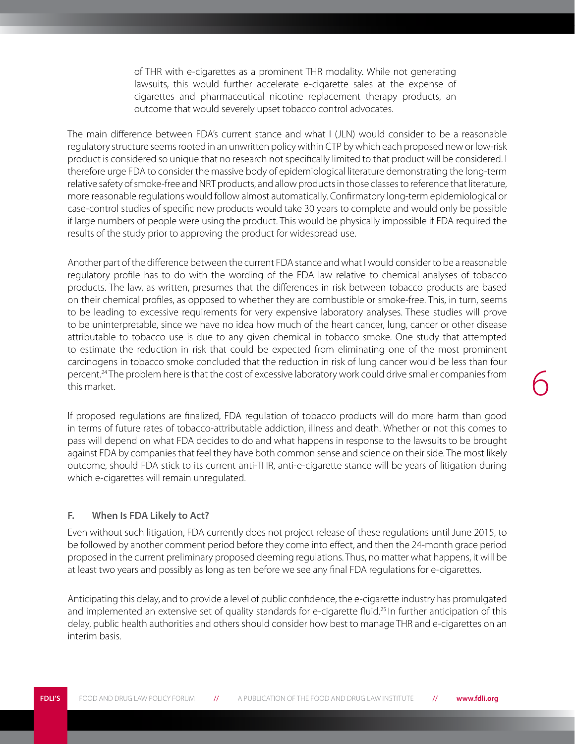of THR with e-cigarettes as a prominent THR modality. While not generating lawsuits, this would further accelerate e-cigarette sales at the expense of cigarettes and pharmaceutical nicotine replacement therapy products, an outcome that would severely upset tobacco control advocates.

<span id="page-9-0"></span>The main difference between FDA's current stance and what I (JLN) would consider to be a reasonable regulatory structure seems rooted in an unwritten policy within CTP by which each proposed new or low-risk product is considered so unique that no research not specifically limited to that product will be considered. I therefore urge FDA to consider the massive body of epidemiological literature demonstrating the long-term relative safety of smoke-free and NRT products, and allow products in those classes to reference that literature, more reasonable regulations would follow almost automatically. Confirmatory long-term epidemiological or case-control studies of specific new products would take 30 years to complete and would only be possible if large numbers of people were using the product. This would be physically impossible if FDA required the results of the study prior to approving the product for widespread use.

Another part of the difference between the current FDA stance and what I would consider to be a reasonable regulatory profile has to do with the wording of the FDA law relative to chemical analyses of tobacco products. The law, as written, presumes that the differences in risk between tobacco products are based on their chemical profiles, as opposed to whether they are combustible or smoke-free. This, in turn, seems to be leading to excessive requirements for very expensive laboratory analyses. These studies will prove to be uninterpretable, since we have no idea how much of the heart cancer, lung, cancer or other disease attributable to tobacco use is due to any given chemical in tobacco smoke. One study that attempted to estimate the reduction in risk that could be expected from eliminating one of the most prominent carcinogens in tobacco smoke concluded that the reduction in risk of lung cancer would be less than four percent.24 The problem here is that the cost of excessive laboratory work could drive smaller companies from this market.

If proposed regulations are finalized, FDA regulation of tobacco products will do more harm than good in terms of future rates of tobacco-attributable addiction, illness and death. Whether or not this comes to pass will depend on what FDA decides to do and what happens in response to the lawsuits to be brought against FDA by companies that feel they have both common sense and science on their side. The most likely outcome, should FDA stick to its current anti-THR, anti-e-cigarette stance will be years of litigation during which e-cigarettes will remain unregulated.

6

#### **F. When Is FDA Likely to Act?**

Even without such litigation, FDA currently does not project release of these regulations until June 2015, to be followed by another comment period before they come into effect, and then the 24-month grace period proposed in the current preliminary proposed deeming regulations. Thus, no matter what happens, it will be at least two years and possibly as long as ten before we see any final FDA regulations for e-cigarettes.

Anticipating this delay, and to provide a level of public confidence, the e-cigarette industry has promulgated and implemented an extensive set of quality standards for e-cigarette fluid.25 In further anticipation of this delay, public health authorities and others should consider how best to manage THR and e-cigarettes on an interim basis.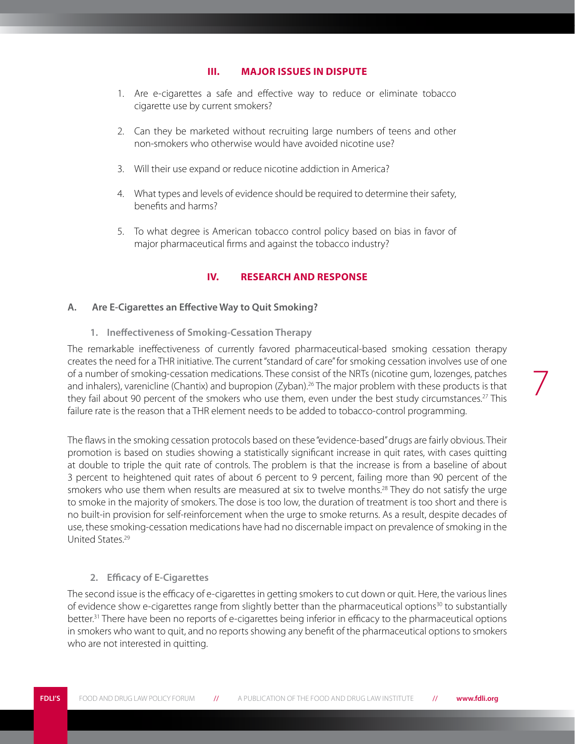#### **III. Major Issues in Dispute**

- <span id="page-10-0"></span>1. Are e-cigarettes a safe and effective way to reduce or eliminate tobacco cigarette use by current smokers?
- 2. Can they be marketed without recruiting large numbers of teens and other non-smokers who otherwise would have avoided nicotine use?
- 3. Will their use expand or reduce nicotine addiction in America?
- 4. What types and levels of evidence should be required to determine their safety, benefits and harms?
- 5. To what degree is American tobacco control policy based on bias in favor of major pharmaceutical firms and against the tobacco industry?

#### **IV. Research and Response**

#### **A. Are E-Cigarettes an Effective Way to Quit Smoking?**

**1. Ineffectiveness of Smoking-Cessation Therapy** 

The remarkable ineffectiveness of currently favored pharmaceutical-based smoking cessation therapy creates the need for a THR initiative. The current "standard of care" for smoking cessation involves use of one of a number of smoking-cessation medications. These consist of the NRTs (nicotine gum, lozenges, patches and inhalers), varenicline (Chantix) and bupropion (Zyban).<sup>26</sup> The major problem with these products is that they fail about 90 percent of the smokers who use them, even under the best study circumstances.<sup>27</sup> This failure rate is the reason that a THR element needs to be added to tobacco-control programming.

The flaws in the smoking cessation protocols based on these "evidence-based" drugs are fairly obvious. Their promotion is based on studies showing a statistically significant increase in quit rates, with cases quitting at double to triple the quit rate of controls. The problem is that the increase is from a baseline of about 3 percent to heightened quit rates of about 6 percent to 9 percent, failing more than 90 percent of the smokers who use them when results are measured at six to twelve months.<sup>28</sup> They do not satisfy the urge to smoke in the majority of smokers. The dose is too low, the duration of treatment is too short and there is no built-in provision for self-reinforcement when the urge to smoke returns. As a result, despite decades of use, these smoking-cessation medications have had no discernable impact on prevalence of smoking in the United States.29

#### **2. Efficacy of E-Cigarettes**

The second issue is the efficacy of e-cigarettes in getting smokers to cut down or quit. Here, the various lines of evidence show e-cigarettes range from slightly better than the pharmaceutical options<sup>30</sup> to substantially better.31 There have been no reports of e-cigarettes being inferior in efficacy to the pharmaceutical options in smokers who want to quit, and no reports showing any benefit of the pharmaceutical options to smokers who are not interested in quitting.

7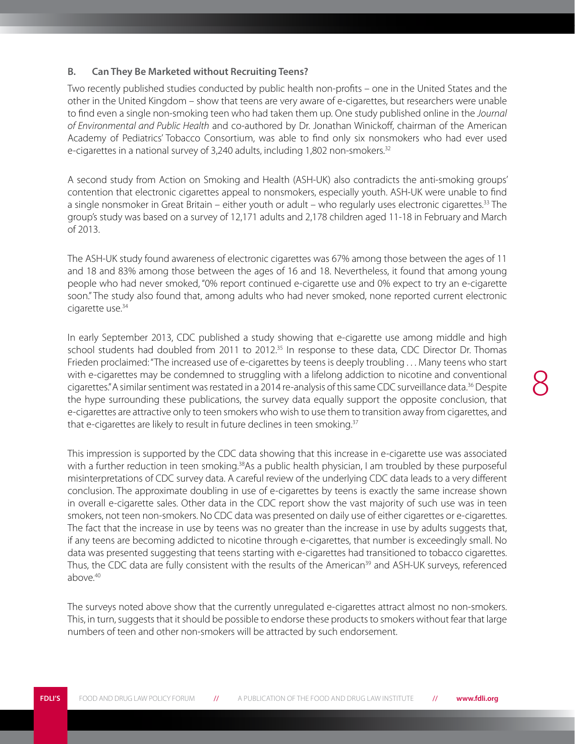#### <span id="page-11-0"></span>**B. Can They Be Marketed without Recruiting Teens?**

Two recently published studies conducted by public health non-profits – one in the United States and the other in the United Kingdom – show that teens are very aware of e-cigarettes, but researchers were unable to find even a single non-smoking teen who had taken them up. One study published online in the *Journal of Environmental and Public Health* and co-authored by Dr. Jonathan Winickoff, chairman of the American Academy of Pediatrics' Tobacco Consortium, was able to find only six nonsmokers who had ever used e-cigarettes in a national survey of 3,240 adults, including 1,802 non-smokers.<sup>32</sup>

A second study from Action on Smoking and Health (ASH-UK) also contradicts the anti-smoking groups' contention that electronic cigarettes appeal to nonsmokers, especially youth. ASH-UK were unable to find a single nonsmoker in Great Britain – either youth or adult – who regularly uses electronic cigarettes.33 The group's study was based on a survey of 12,171 adults and 2,178 children aged 11-18 in February and March of 2013.

The ASH-UK study found awareness of electronic cigarettes was 67% among those between the ages of 11 and 18 and 83% among those between the ages of 16 and 18. Nevertheless, it found that among young people who had never smoked, "0% report continued e-cigarette use and 0% expect to try an e-cigarette soon." The study also found that, among adults who had never smoked, none reported current electronic cigarette use.<sup>34</sup>

In early September 2013, CDC published a study showing that e-cigarette use among middle and high school students had doubled from 2011 to 2012.<sup>35</sup> In response to these data, CDC Director Dr. Thomas Frieden proclaimed: "The increased use of e-cigarettes by teens is deeply troubling . . . Many teens who start with e-cigarettes may be condemned to struggling with a lifelong addiction to nicotine and conventional cigarettes." A similar sentiment was restated in a 2014 re-analysis of this same CDC surveillance data.<sup>36</sup> Despite the hype surrounding these publications, the survey data equally support the opposite conclusion, that e-cigarettes are attractive only to teen smokers who wish to use them to transition away from cigarettes, and that e-cigarettes are likely to result in future declines in teen smoking.<sup>37</sup>

This impression is supported by the CDC data showing that this increase in e-cigarette use was associated with a further reduction in teen smoking.<sup>38</sup>As a public health physician, I am troubled by these purposeful misinterpretations of CDC survey data. A careful review of the underlying CDC data leads to a very different conclusion. The approximate doubling in use of e-cigarettes by teens is exactly the same increase shown in overall e-cigarette sales. Other data in the CDC report show the vast majority of such use was in teen smokers, not teen non-smokers. No CDC data was presented on daily use of either cigarettes or e-cigarettes. The fact that the increase in use by teens was no greater than the increase in use by adults suggests that, if any teens are becoming addicted to nicotine through e-cigarettes, that number is exceedingly small. No data was presented suggesting that teens starting with e-cigarettes had transitioned to tobacco cigarettes. Thus, the CDC data are fully consistent with the results of the American<sup>39</sup> and ASH-UK surveys, referenced above.40

The surveys noted above show that the currently unregulated e-cigarettes attract almost no non-smokers. This, in turn, suggests that it should be possible to endorse these products to smokers without fear that large numbers of teen and other non-smokers will be attracted by such endorsement.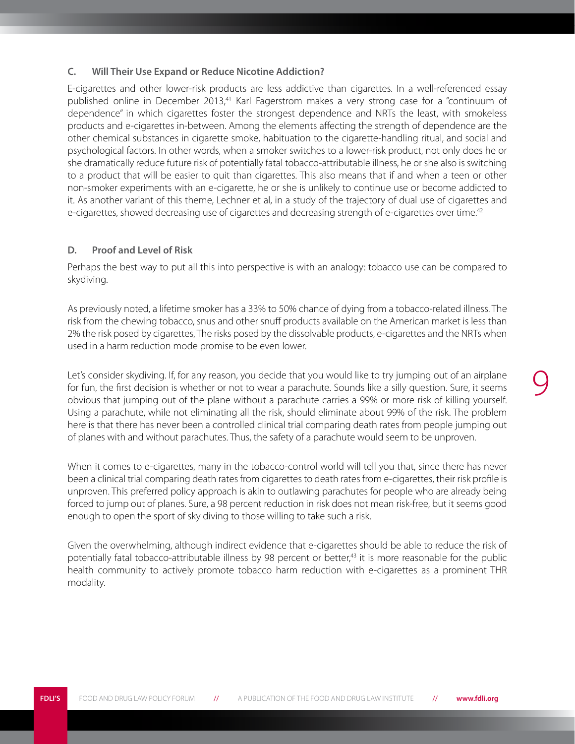#### <span id="page-12-0"></span>**C. Will Their Use Expand or Reduce Nicotine Addiction?**

E-cigarettes and other lower-risk products are less addictive than cigarettes. In a well-referenced essay published online in December 2013,<sup>41</sup> Karl Fagerstrom makes a very strong case for a "continuum of dependence" in which cigarettes foster the strongest dependence and NRTs the least, with smokeless products and e-cigarettes in-between. Among the elements affecting the strength of dependence are the other chemical substances in cigarette smoke, habituation to the cigarette-handling ritual, and social and psychological factors. In other words, when a smoker switches to a lower-risk product, not only does he or she dramatically reduce future risk of potentially fatal tobacco-attributable illness, he or she also is switching to a product that will be easier to quit than cigarettes. This also means that if and when a teen or other non-smoker experiments with an e-cigarette, he or she is unlikely to continue use or become addicted to it. As another variant of this theme, Lechner et al, in a study of the trajectory of dual use of cigarettes and e-cigarettes, showed decreasing use of cigarettes and decreasing strength of e-cigarettes over time.<sup>42</sup>

#### **D. Proof and Level of Risk**

Perhaps the best way to put all this into perspective is with an analogy: tobacco use can be compared to skydiving.

As previously noted, a lifetime smoker has a 33% to 50% chance of dying from a tobacco-related illness. The risk from the chewing tobacco, snus and other snuff products available on the American market is less than 2% the risk posed by cigarettes, The risks posed by the dissolvable products, e-cigarettes and the NRTs when used in a harm reduction mode promise to be even lower.

Let's consider skydiving. If, for any reason, you decide that you would like to try jumping out of an airplane for fun, the first decision is whether or not to wear a parachute. Sounds like a silly question. Sure, it seems obvious that jumping out of the plane without a parachute carries a 99% or more risk of killing yourself. Using a parachute, while not eliminating all the risk, should eliminate about 99% of the risk. The problem here is that there has never been a controlled clinical trial comparing death rates from people jumping out of planes with and without parachutes. Thus, the safety of a parachute would seem to be unproven.

9

When it comes to e-cigarettes, many in the tobacco-control world will tell you that, since there has never been a clinical trial comparing death rates from cigarettes to death rates from e-cigarettes, their risk profile is unproven. This preferred policy approach is akin to outlawing parachutes for people who are already being forced to jump out of planes. Sure, a 98 percent reduction in risk does not mean risk-free, but it seems good enough to open the sport of sky diving to those willing to take such a risk.

Given the overwhelming, although indirect evidence that e-cigarettes should be able to reduce the risk of potentially fatal tobacco-attributable illness by 98 percent or better,<sup>43</sup> it is more reasonable for the public health community to actively promote tobacco harm reduction with e-cigarettes as a prominent THR modality.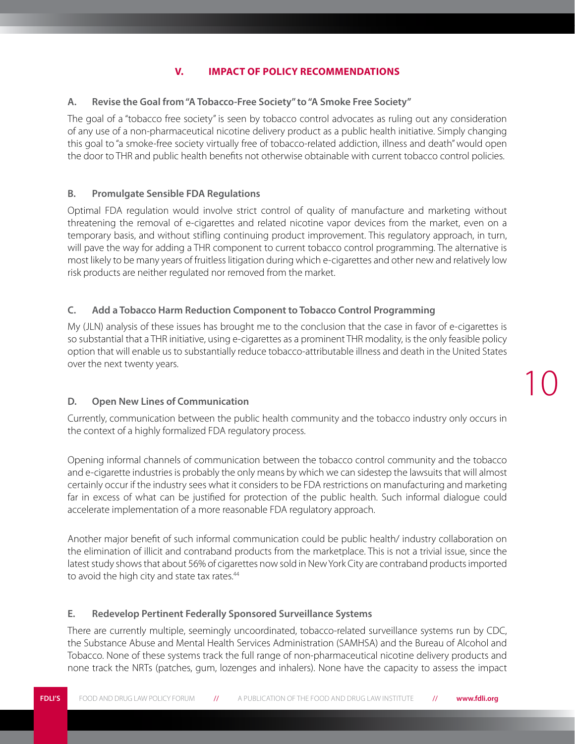#### **V. Impact of Policy Recommendations**

#### <span id="page-13-0"></span>**A. Revise the Goal from "A Tobacco-Free Society" to "A Smoke Free Society"**

The goal of a "tobacco free society" is seen by tobacco control advocates as ruling out any consideration of any use of a non-pharmaceutical nicotine delivery product as a public health initiative. Simply changing this goal to "a smoke-free society virtually free of tobacco-related addiction, illness and death" would open the door to THR and public health benefits not otherwise obtainable with current tobacco control policies.

#### **B. Promulgate Sensible FDA Regulations**

Optimal FDA regulation would involve strict control of quality of manufacture and marketing without threatening the removal of e-cigarettes and related nicotine vapor devices from the market, even on a temporary basis, and without stifling continuing product improvement. This regulatory approach, in turn, will pave the way for adding a THR component to current tobacco control programming. The alternative is most likely to be many years of fruitless litigation during which e-cigarettes and other new and relatively low risk products are neither regulated nor removed from the market.

#### **C. Add a Tobacco Harm Reduction Component to Tobacco Control Programming**

My (JLN) analysis of these issues has brought me to the conclusion that the case in favor of e-cigarettes is so substantial that a THR initiative, using e-cigarettes as a prominent THR modality, is the only feasible policy option that will enable us to substantially reduce tobacco-attributable illness and death in the United States over the next twenty years.

#### **D. Open New Lines of Communication**

Currently, communication between the public health community and the tobacco industry only occurs in the context of a highly formalized FDA regulatory process.

Opening informal channels of communication between the tobacco control community and the tobacco and e-cigarette industries is probably the only means by which we can sidestep the lawsuits that will almost certainly occur if the industry sees what it considers to be FDA restrictions on manufacturing and marketing far in excess of what can be justified for protection of the public health. Such informal dialogue could accelerate implementation of a more reasonable FDA regulatory approach.

Another major benefit of such informal communication could be public health/ industry collaboration on the elimination of illicit and contraband products from the marketplace. This is not a trivial issue, since the latest study shows that about 56% of cigarettes now sold in New York City are contraband products imported to avoid the high city and state tax rates.<sup>44</sup>

#### **E. Redevelop Pertinent Federally Sponsored Surveillance Systems**

There are currently multiple, seemingly uncoordinated, tobacco-related surveillance systems run by CDC, the Substance Abuse and Mental Health Services Administration (SAMHSA) and the Bureau of Alcohol and Tobacco. None of these systems track the full range of non-pharmaceutical nicotine delivery products and none track the NRTs (patches, gum, lozenges and inhalers). None have the capacity to assess the impact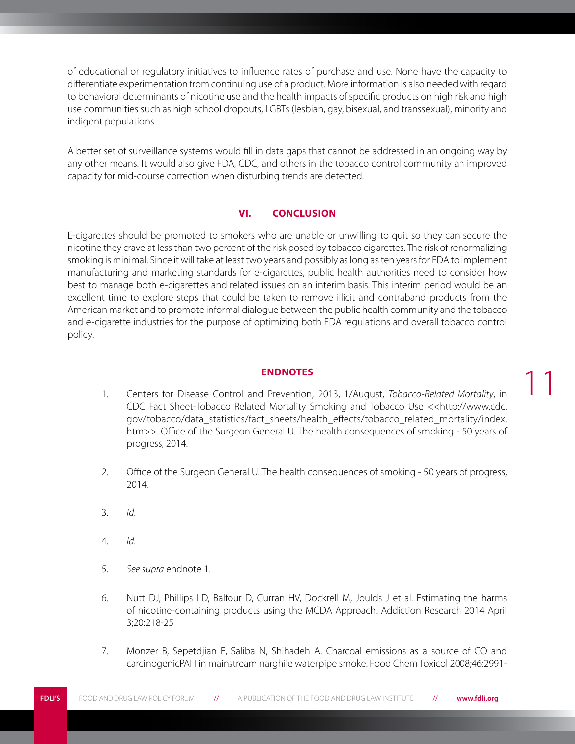<span id="page-14-0"></span>of educational or regulatory initiatives to influence rates of purchase and use. None have the capacity to differentiate experimentation from continuing use of a product. More information is also needed with regard to behavioral determinants of nicotine use and the health impacts of specific products on high risk and high use communities such as high school dropouts, LGBTs (lesbian, gay, bisexual, and transsexual), minority and indigent populations.

A better set of surveillance systems would fill in data gaps that cannot be addressed in an ongoing way by any other means. It would also give FDA, CDC, and others in the tobacco control community an improved capacity for mid-course correction when disturbing trends are detected.

#### **VI. Conclusion**

E-cigarettes should be promoted to smokers who are unable or unwilling to quit so they can secure the nicotine they crave at less than two percent of the risk posed by tobacco cigarettes. The risk of renormalizing smoking is minimal. Since it will take at least two years and possibly as long as ten years for FDA to implement manufacturing and marketing standards for e-cigarettes, public health authorities need to consider how best to manage both e-cigarettes and related issues on an interim basis. This interim period would be an excellent time to explore steps that could be taken to remove illicit and contraband products from the American market and to promote informal dialogue between the public health community and the tobacco and e-cigarette industries for the purpose of optimizing both FDA regulations and overall tobacco control policy.

#### **Endnotes**

1. Centers for Disease Control and Prevention, 2013, 1/August, *Tobacco-Related Mortality*, in CDC Fact Sheet-Tobacco Related Mortality Smoking and Tobacco Use <<http://www.cdc. gov/tobacco/data\_statistics/fact\_sheets/health\_effects/tobacco\_related\_mortality/index. htm>>. Office of the Surgeon General U. The health consequences of smoking - 50 years of progress, 2014.

11

- 2. Office of the Surgeon General U. The health consequences of smoking 50 years of progress, 2014.
- 3. *Id*.
- 4. *Id*.
- 5. *See supra* endnote 1.
- 6. Nutt DJ, Phillips LD, Balfour D, Curran HV, Dockrell M, Joulds J et al. Estimating the harms of nicotine-containing products using the MCDA Approach. Addiction Research 2014 April 3;20:218-25
- 7. Monzer B, Sepetdjian E, Saliba N, Shihadeh A. Charcoal emissions as a source of CO and carcinogenicPAH in mainstream narghile waterpipe smoke. Food Chem Toxicol 2008;46:2991-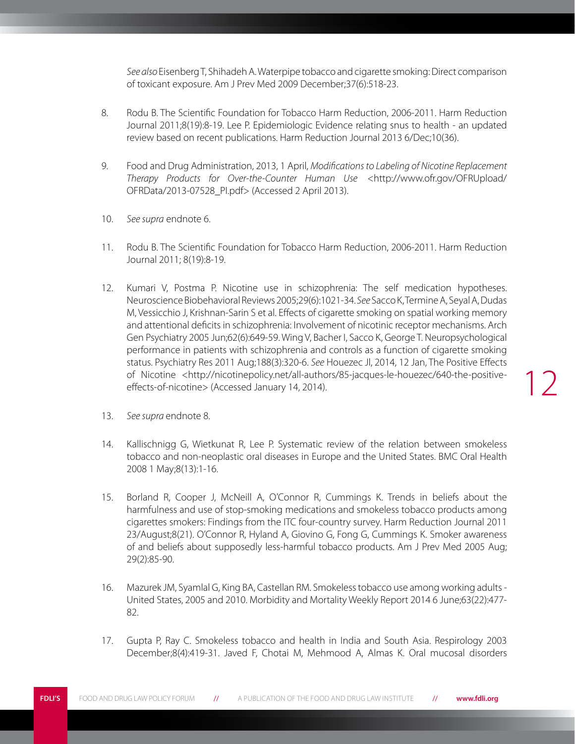*See also* Eisenberg T, Shihadeh A. Waterpipe tobacco and cigarette smoking: Direct comparison of toxicant exposure. Am J Prev Med 2009 December;37(6):518-23.

- 8. Rodu B. The Scientific Foundation for Tobacco Harm Reduction, 2006-2011. Harm Reduction Journal 2011;8(19):8-19. Lee P. Epidemiologic Evidence relating snus to health - an updated review based on recent publications. Harm Reduction Journal 2013 6/Dec;10(36).
- 9. Food and Drug Administration, 2013, 1 April, *Modifications to Labeling of Nicotine Replacement Therapy Products for Over-the-Counter Human Use* <http://www.ofr.gov/OFRUpload/ OFRData/2013-07528\_PI.pdf> (Accessed 2 April 2013).
- 10. *See supra* endnote 6.
- 11. Rodu B. The Scientific Foundation for Tobacco Harm Reduction, 2006-2011. Harm Reduction Journal 2011; 8(19):8-19.
- 12. Kumari V, Postma P. Nicotine use in schizophrenia: The self medication hypotheses. Neuroscience Biobehavioral Reviews 2005;29(6):1021-34. *See* Sacco K, Termine A, Seyal A, Dudas M, Vessicchio J, Krishnan-Sarin S et al. Effects of cigarette smoking on spatial working memory and attentional deficits in schizophrenia: Involvement of nicotinic receptor mechanisms. Arch Gen Psychiatry 2005 Jun;62(6):649-59. Wing V, Bacher I, Sacco K, George T. Neuropsychological performance in patients with schizophrenia and controls as a function of cigarette smoking status. Psychiatry Res 2011 Aug;188(3):320-6. *See* Houezec Jl, 2014, 12 Jan, The Positive Effects of Nicotine <http://nicotinepolicy.net/all-authors/85-jacques-le-houezec/640-the-positiveeffects-of-nicotine> (Accessed January 14, 2014).
- 13. *See supra* endnote 8.
- 14. Kallischnigg G, Wietkunat R, Lee P. Systematic review of the relation between smokeless tobacco and non-neoplastic oral diseases in Europe and the United States. BMC Oral Health 2008 1 May;8(13):1-16.
- 15. Borland R, Cooper J, McNeill A, O'Connor R, Cummings K. Trends in beliefs about the harmfulness and use of stop-smoking medications and smokeless tobacco products among cigarettes smokers: Findings from the ITC four-country survey. Harm Reduction Journal 2011 23/August;8(21). O'Connor R, Hyland A, Giovino G, Fong G, Cummings K. Smoker awareness of and beliefs about supposedly less-harmful tobacco products. Am J Prev Med 2005 Aug; 29(2):85-90.
- 16. Mazurek JM, Syamlal G, King BA, Castellan RM. Smokeless tobacco use among working adults United States, 2005 and 2010. Morbidity and Mortality Weekly Report 2014 6 June;63(22):477- 82.
- 17. Gupta P, Ray C. Smokeless tobacco and health in India and South Asia. Respirology 2003 December;8(4):419-31. Javed F, Chotai M, Mehmood A, Almas K. Oral mucosal disorders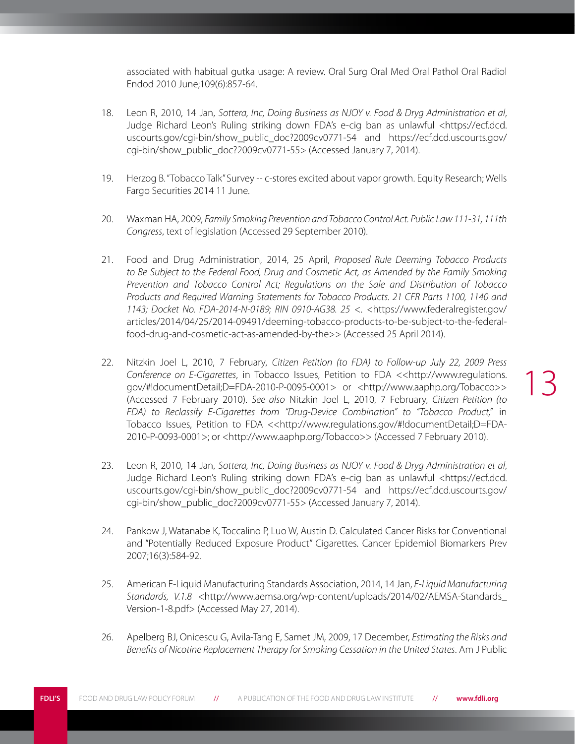associated with habitual gutka usage: A review. Oral Surg Oral Med Oral Pathol Oral Radiol Endod 2010 June;109(6):857-64.

- 18. Leon R, 2010, 14 Jan, *Sottera, Inc, Doing Business as NJOY v. Food & Dryg Administration et al*, Judge Richard Leon's Ruling striking down FDA's e-cig ban as unlawful <https://ecf.dcd. uscourts.gov/cgi-bin/show\_public\_doc?2009cv0771-54 and https://ecf.dcd.uscourts.gov/ cgi-bin/show\_public\_doc?2009cv0771-55> (Accessed January 7, 2014).
- 19. Herzog B. "Tobacco Talk" Survey -- c-stores excited about vapor growth. Equity Research; Wells Fargo Securities 2014 11 June.
- 20. Waxman HA, 2009, *Family Smoking Prevention and Tobacco Control Act. Public Law 111-31, 111th Congress*, text of legislation (Accessed 29 September 2010).
- 21. Food and Drug Administration, 2014, 25 April, *Proposed Rule Deeming Tobacco Products*  to Be Subject to the Federal Food, Drug and Cosmetic Act, as Amended by the Family Smoking *Prevention and Tobacco Control Act; Regulations on the Sale and Distribution of Tobacco Products and Required Warning Statements for Tobacco Products. 21 CFR Parts 1100, 1140 and 1143; Docket No. FDA-2014-N-0189; RIN 0910-AG38. 25* <. <https://www.federalregister.gov/ articles/2014/04/25/2014-09491/deeming-tobacco-products-to-be-subject-to-the-federalfood-drug-and-cosmetic-act-as-amended-by-the>> (Accessed 25 April 2014).
- 22. Nitzkin Joel L, 2010, 7 February, *Citizen Petition (to FDA) to Follow-up July 22, 2009 Press Conference on E-Cigarettes*, in Tobacco Issues, Petition to FDA <<http://www.regulations. gov/#!documentDetail;D=FDA-2010-P-0095-0001> or <http://www.aaphp.org/Tobacco>> (Accessed 7 February 2010). *See also* Nitzkin Joel L, 2010, 7 February, *Citizen Petition (to FDA) to Reclassify E-Cigarettes from "Drug-Device Combination" to "Tobacco Product,"* in Tobacco Issues, Petition to FDA <<http://www.regulations.gov/#!documentDetail;D=FDA-2010-P-0093-0001>; or <http://www.aaphp.org/Tobacco>> (Accessed 7 February 2010).
- 23. Leon R, 2010, 14 Jan, *Sottera, Inc, Doing Business as NJOY v. Food & Dryg Administration et al*, Judge Richard Leon's Ruling striking down FDA's e-cig ban as unlawful <https://ecf.dcd. uscourts.gov/cgi-bin/show\_public\_doc?2009cv0771-54 and https://ecf.dcd.uscourts.gov/ cgi-bin/show\_public\_doc?2009cv0771-55> (Accessed January 7, 2014).
- 24. Pankow J, Watanabe K, Toccalino P, Luo W, Austin D. Calculated Cancer Risks for Conventional and "Potentially Reduced Exposure Product" Cigarettes. Cancer Epidemiol Biomarkers Prev 2007;16(3):584-92.
- 25. American E-Liquid Manufacturing Standards Association, 2014, 14 Jan, *E-Liquid Manufacturing*  Standards, V.1.8 <http://www.aemsa.org/wp-content/uploads/2014/02/AEMSA-Standards\_ Version-1-8.pdf> (Accessed May 27, 2014).
- 26. Apelberg BJ, Onicescu G, Avila-Tang E, Samet JM, 2009, 17 December, *Estimating the Risks and Benefits of Nicotine Replacement Therapy for Smoking Cessation in the United States*. Am J Public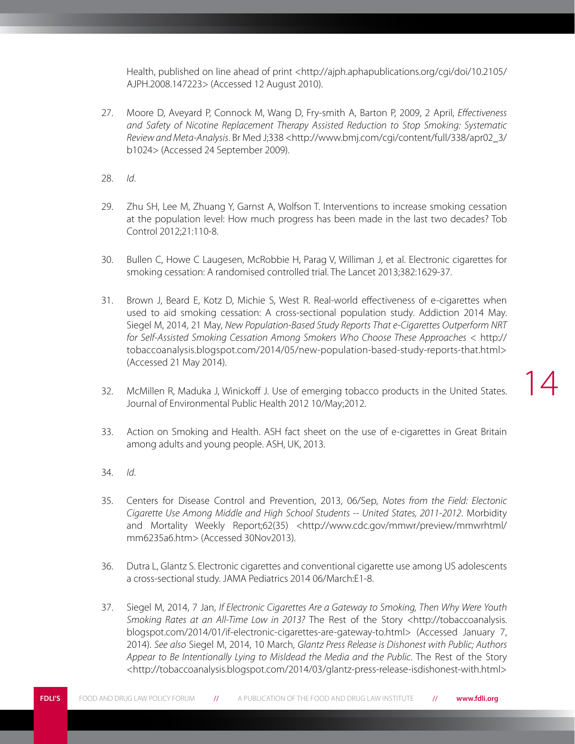Health, published on line ahead of print <http://ajph.aphapublications.org/cgi/doi/10.2105/ AJPH.2008.147223> (Accessed 12 August 2010).

- 27. Moore D, Aveyard P, Connock M, Wang D, Fry-smith A, Barton P, 2009, 2 April, *Effectiveness and Safety of Nicotine Replacement Therapy Assisted Reduction to Stop Smoking: Systematic Review and Meta-Analysis*. Br Med J;338 <http://www.bmj.com/cgi/content/full/338/apr02\_3/ b1024> (Accessed 24 September 2009).
- 28. *Id*.
- 29. Zhu SH, Lee M, Zhuang Y, Garnst A, Wolfson T. Interventions to increase smoking cessation at the population level: How much progress has been made in the last two decades? Tob Control 2012;21:110-8.
- 30. Bullen C, Howe C Laugesen, McRobbie H, Parag V, Williman J, et al. Electronic cigarettes for smoking cessation: A randomised controlled trial. The Lancet 2013;382:1629-37.
- 31. Brown J, Beard E, Kotz D, Michie S, West R. Real-world effectiveness of e-cigarettes when used to aid smoking cessation: A cross-sectional population study. Addiction 2014 May. Siegel M, 2014, 21 May, *New Population-Based Study Reports That e-Cigarettes Outperform NRT for Self-Assisted Smoking Cessation Among Smokers Who Choose These Approaches* < http:// tobaccoanalysis.blogspot.com/2014/05/new-population-based-study-reports-that.html> (Accessed 21 May 2014).
- 32. McMillen R, Maduka J, Winickoff J. Use of emerging tobacco products in the United States. Journal of Environmental Public Health 2012 10/May;2012.

14

- 33. Action on Smoking and Health. ASH fact sheet on the use of e-cigarettes in Great Britain among adults and young people. ASH, UK, 2013.
- 34. *Id*.
- 35. Centers for Disease Control and Prevention, 2013, 06/Sep, *Notes from the Field: Electonic Cigarette Use Among Middle and High School Students -- United States, 2011-2012*. Morbidity and Mortality Weekly Report;62(35) <http://www.cdc.gov/mmwr/preview/mmwrhtml/ mm6235a6.htm> (Accessed 30Nov2013).
- 36. Dutra L, Glantz S. Electronic cigarettes and conventional cigarette use among US adolescents a cross-sectional study. JAMA Pediatrics 2014 06/March:E1-8.
- 37. Siegel M, 2014, 7 Jan, *If Electronic Cigarettes Are a Gateway to Smoking, Then Why Were Youth Smoking Rates at an All-Time Low in 2013?* The Rest of the Story <http://tobaccoanalysis. blogspot.com/2014/01/if-electronic-cigarettes-are-gateway-to.html> (Accessed January 7, 2014). *See also* Siegel M, 2014, 10 March, *Glantz Press Release is Dishonest with Public; Authors Appear to Be Intentionally Lying to Misldead the Media and the Public*. The Rest of the Story <http://tobaccoanalysis.blogspot.com/2014/03/glantz-press-release-isdishonest-with.html>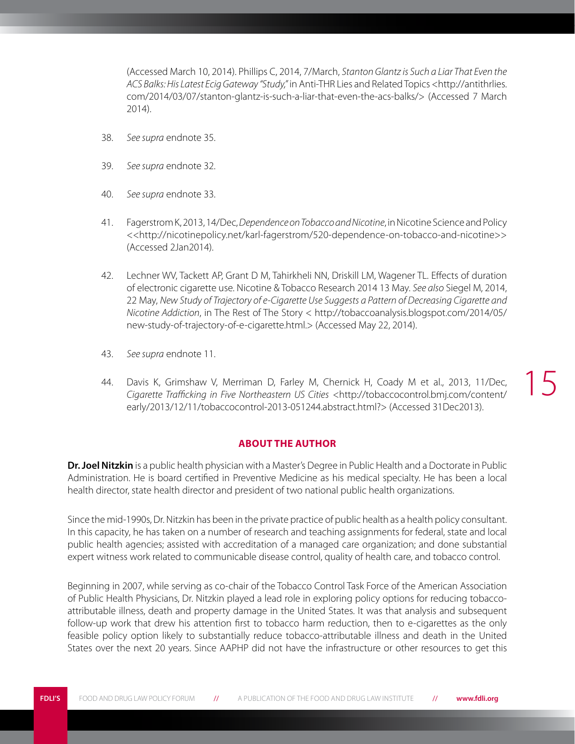<span id="page-18-0"></span>(Accessed March 10, 2014). Phillips C, 2014, 7/March, *Stanton Glantz is Such a Liar That Even the ACS Balks: His Latest Ecig Gateway "Study,"* in Anti-THR Lies and Related Topics <http://antithrlies. com/2014/03/07/stanton-glantz-is-such-a-liar-that-even-the-acs-balks/> (Accessed 7 March 2014).

- 38. *See supra* endnote 35.
- 39. *See supra* endnote 32.
- 40. *See supra* endnote 33.
- 41. Fagerstrom K, 2013, 14/Dec, *Dependence on Tobacco and Nicotine*, in Nicotine Science and Policy <<http://nicotinepolicy.net/karl-fagerstrom/520-dependence-on-tobacco-and-nicotine>> (Accessed 2Jan2014).
- 42. Lechner WV, Tackett AP, Grant D M, Tahirkheli NN, Driskill LM, Wagener TL. Effects of duration of electronic cigarette use. Nicotine & Tobacco Research 2014 13 May. *See also* Siegel M, 2014, 22 May, *New Study of Trajectory of e-Cigarette Use Suggests a Pattern of Decreasing Cigarette and Nicotine Addiction*, in The Rest of The Story < http://tobaccoanalysis.blogspot.com/2014/05/ new-study-of-trajectory-of-e-cigarette.html.> (Accessed May 22, 2014).
- 43. *See supra* endnote 11.
- 44. Davis K, Grimshaw V, Merriman D, Farley M, Chernick H, Coady M et al., 2013, 11/Dec, *Cigarette Trafficking in Five Northeastern US Cities* <http://tobaccocontrol.bmj.com/content/ early/2013/12/11/tobaccocontrol-2013-051244.abstract.html?> (Accessed 31Dec2013).

#### **About the Author**

**Dr. Joel Nitzkin** is a public health physician with a Master's Degree in Public Health and a Doctorate in Public Administration. He is board certified in Preventive Medicine as his medical specialty. He has been a local health director, state health director and president of two national public health organizations.

Since the mid-1990s, Dr. Nitzkin has been in the private practice of public health as a health policy consultant. In this capacity, he has taken on a number of research and teaching assignments for federal, state and local public health agencies; assisted with accreditation of a managed care organization; and done substantial expert witness work related to communicable disease control, quality of health care, and tobacco control.

Beginning in 2007, while serving as co-chair of the Tobacco Control Task Force of the American Association of Public Health Physicians, Dr. Nitzkin played a lead role in exploring policy options for reducing tobaccoattributable illness, death and property damage in the United States. It was that analysis and subsequent follow-up work that drew his attention first to tobacco harm reduction, then to e-cigarettes as the only feasible policy option likely to substantially reduce tobacco-attributable illness and death in the United States over the next 20 years. Since AAPHP did not have the infrastructure or other resources to get this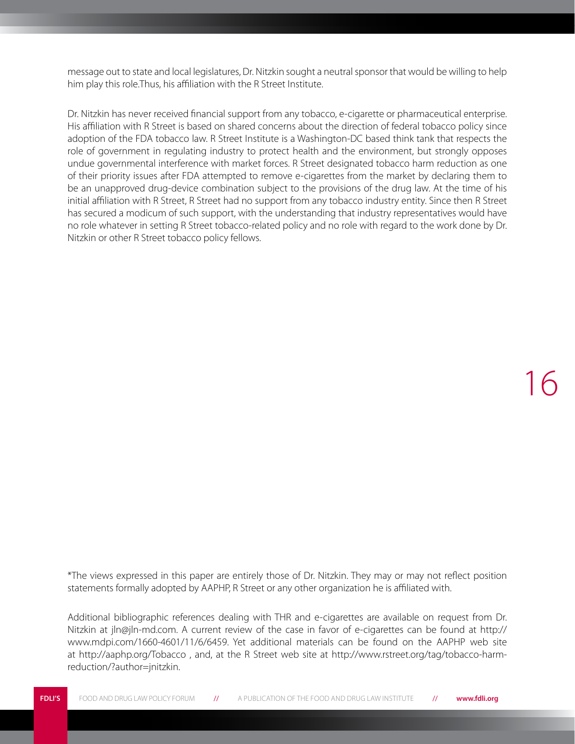message out to state and local legislatures, Dr. Nitzkin sought a neutral sponsor that would be willing to help him play this role.Thus, his affiliation with the R Street Institute.

Dr. Nitzkin has never received financial support from any tobacco, e-cigarette or pharmaceutical enterprise. His affiliation with R Street is based on shared concerns about the direction of federal tobacco policy since adoption of the FDA tobacco law. R Street Institute is a Washington-DC based think tank that respects the role of government in regulating industry to protect health and the environment, but strongly opposes undue governmental interference with market forces. R Street designated tobacco harm reduction as one of their priority issues after FDA attempted to remove e-cigarettes from the market by declaring them to be an unapproved drug-device combination subject to the provisions of the drug law. At the time of his initial affiliation with R Street, R Street had no support from any tobacco industry entity. Since then R Street has secured a modicum of such support, with the understanding that industry representatives would have no role whatever in setting R Street tobacco-related policy and no role with regard to the work done by Dr. Nitzkin or other R Street tobacco policy fellows.

16

\*The views expressed in this paper are entirely those of Dr. Nitzkin. They may or may not reflect position statements formally adopted by AAPHP, R Street or any other organization he is affiliated with.

Additional bibliographic references dealing with THR and e-cigarettes are available on request from Dr. Nitzkin at jln@jln-md.com. A current review of the case in favor of e-cigarettes can be found at http:// www.mdpi.com/1660-4601/11/6/6459. Yet additional materials can be found on the AAPHP web site at http://aaphp.org/Tobacco , and, at the R Street web site at http://www.rstreet.org/tag/tobacco-harmreduction/?author=jnitzkin.